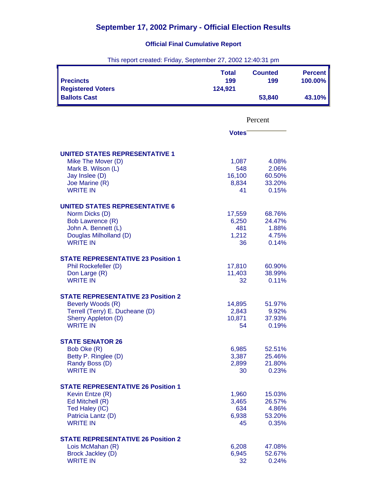## **Official Final Cumulative Report**

| This report created: Friday, September 27, 2002 12:40:31 pm |                                |                       |                           |
|-------------------------------------------------------------|--------------------------------|-----------------------|---------------------------|
| <b>Precincts</b><br><b>Registered Voters</b>                | <b>Total</b><br>199<br>124,921 | <b>Counted</b><br>199 | <b>Percent</b><br>100.00% |
| <b>Ballots Cast</b>                                         |                                | 53,840                | 43.10%                    |
|                                                             |                                |                       |                           |
|                                                             | Percent                        |                       |                           |
|                                                             | <b>Votes</b>                   |                       |                           |
| <b>UNITED STATES REPRESENTATIVE 1</b>                       |                                |                       |                           |
| Mike The Mover (D)                                          | 1,087                          | 4.08%                 |                           |
| Mark B. Wilson (L)                                          | 548                            | 2.06%                 |                           |
| Jay Inslee (D)                                              | 16,100                         | 60.50%                |                           |
| Joe Marine (R)                                              | 8,834                          | 33.20%                |                           |
| <b>WRITE IN</b>                                             | 41                             | 0.15%                 |                           |
| <b>UNITED STATES REPRESENTATIVE 6</b>                       |                                |                       |                           |
| Norm Dicks (D)                                              | 17,559                         | 68.76%                |                           |
| Bob Lawrence (R)                                            | 6,250                          | 24.47%                |                           |
| John A. Bennett (L)                                         | 481                            | 1.88%                 |                           |
| Douglas Milholland (D)                                      | 1,212                          | 4.75%                 |                           |
| <b>WRITE IN</b>                                             | 36                             | 0.14%                 |                           |
| <b>STATE REPRESENTATIVE 23 Position 1</b>                   |                                |                       |                           |
| Phil Rockefeller (D)                                        | 17,810                         | 60.90%                |                           |
| Don Large (R)                                               | 11,403                         | 38.99%                |                           |
| <b>WRITE IN</b>                                             | 32                             | 0.11%                 |                           |
|                                                             |                                |                       |                           |
| <b>STATE REPRESENTATIVE 23 Position 2</b>                   |                                |                       |                           |
| Beverly Woods (R)<br>Terrell (Terry) E. Ducheane (D)        | 14,895<br>2,843                | 51.97%<br>9.92%       |                           |
| Sherry Appleton (D)                                         | 10,871                         | 37.93%                |                           |
| <b>WRITE IN</b>                                             | 54                             | 0.19%                 |                           |
|                                                             |                                |                       |                           |
| <b>STATE SENATOR 26</b>                                     |                                |                       |                           |
| Bob Oke (R)<br>Betty P. Ringlee (D)                         | 6,985<br>3,387                 | 52.51%<br>25.46%      |                           |
| Randy Boss (D)                                              | 2,899                          | 21.80%                |                           |
| <b>WRITE IN</b>                                             | 30                             | 0.23%                 |                           |
|                                                             |                                |                       |                           |
| <b>STATE REPRESENTATIVE 26 Position 1</b>                   |                                |                       |                           |
| Kevin Entze (R)                                             | 1,960                          | 15.03%                |                           |
| Ed Mitchell (R)                                             | 3,465                          | 26.57%                |                           |
| Ted Haley (IC)                                              | 634<br>6,938                   | 4.86%<br>53.20%       |                           |
| Patricia Lantz (D)<br><b>WRITE IN</b>                       | 45                             | 0.35%                 |                           |
|                                                             |                                |                       |                           |
| <b>STATE REPRESENTATIVE 26 Position 2</b>                   |                                |                       |                           |
| Lois McMahan (R)                                            | 6,208                          | 47.08%                |                           |
| Brock Jackley (D)                                           | 6,945                          | 52.67%                |                           |
| <b>WRITE IN</b>                                             | 32                             | 0.24%                 |                           |

## This report created: Friday, September 27, 2002 12:40:31 pm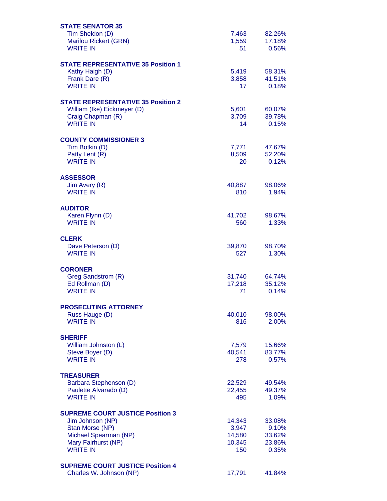| <b>STATE SENATOR 35</b><br>Tim Sheldon (D)<br>Marilou Rickert (GRN)<br><b>WRITE IN</b>                                                            | 7,463<br>1,559<br>51                       | 82.26%<br>17.18%<br>0.56%                    |
|---------------------------------------------------------------------------------------------------------------------------------------------------|--------------------------------------------|----------------------------------------------|
| <b>STATE REPRESENTATIVE 35 Position 1</b><br>Kathy Haigh (D)<br>Frank Dare (R)<br><b>WRITE IN</b>                                                 | 5,419<br>3,858<br>17                       | 58.31%<br>41.51%<br>0.18%                    |
| <b>STATE REPRESENTATIVE 35 Position 2</b><br>William (Ike) Eickmeyer (D)<br>Craig Chapman (R)<br><b>WRITE IN</b>                                  | 5,601<br>3,709<br>14                       | 60.07%<br>39.78%<br>0.15%                    |
| <b>COUNTY COMMISSIONER 3</b><br>Tim Botkin (D)<br>Patty Lent (R)<br><b>WRITE IN</b>                                                               | 7,771<br>8,509<br>20                       | 47.67%<br>52.20%<br>0.12%                    |
| <b>ASSESSOR</b><br>Jim Avery (R)<br><b>WRITE IN</b>                                                                                               | 40,887<br>810                              | 98.06%<br>1.94%                              |
| <b>AUDITOR</b><br>Karen Flynn (D)<br><b>WRITE IN</b>                                                                                              | 41,702<br>560                              | 98.67%<br>1.33%                              |
| <b>CLERK</b><br>Dave Peterson (D)<br><b>WRITE IN</b>                                                                                              | 39,870<br>527                              | 98.70%<br>1.30%                              |
| <b>CORONER</b><br>Greg Sandstrom (R)<br>Ed Rollman (D)<br><b>WRITE IN</b>                                                                         | 31,740<br>17,218<br>71                     | 64.74%<br>35.12%<br>0.14%                    |
| <b>PROSECUTING ATTORNEY</b><br>Russ Hauge (D)<br><b>WRITE IN</b>                                                                                  | 40,010<br>816                              | 98.00%<br>2.00%                              |
| <b>SHERIFF</b><br>William Johnston (L)<br>Steve Boyer (D)<br><b>WRITE IN</b>                                                                      | 7,579<br>40,541<br>278                     | 15.66%<br>83.77%<br>0.57%                    |
| <b>TREASURER</b><br>Barbara Stephenson (D)<br>Paulette Alvarado (D)<br><b>WRITE IN</b>                                                            | 22,529<br>22,455<br>495                    | 49.54%<br>49.37%<br>1.09%                    |
| <b>SUPREME COURT JUSTICE Position 3</b><br>Jim Johnson (NP)<br>Stan Morse (NP)<br>Michael Spearman (NP)<br>Mary Fairhurst (NP)<br><b>WRITE IN</b> | 14,343<br>3,947<br>14,580<br>10,345<br>150 | 33.08%<br>9.10%<br>33.62%<br>23.86%<br>0.35% |
| <b>SUPREME COURT JUSTICE Position 4</b><br>Charles W. Johnson (NP)                                                                                | 17,791                                     | 41.84%                                       |